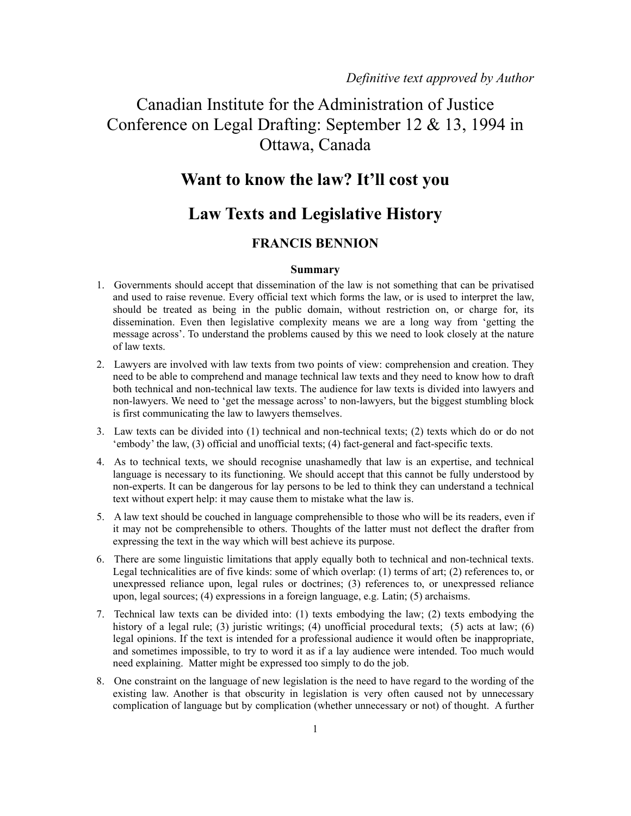# Canadian Institute for the Administration of Justice Conference on Legal Drafting: September 12 & 13, 1994 in Ottawa, Canada

### **Want to know the law? It'll cost you**

## **Law Texts and Legislative History**

### **FRANCIS BENNION**

#### **Summary**

- 1. Governments should accept that dissemination of the law is not something that can be privatised and used to raise revenue. Every official text which forms the law, or is used to interpret the law, should be treated as being in the public domain, without restriction on, or charge for, its dissemination. Even then legislative complexity means we are a long way from 'getting the message across'. To understand the problems caused by this we need to look closely at the nature of law texts.
- 2. Lawyers are involved with law texts from two points of view: comprehension and creation. They need to be able to comprehend and manage technical law texts and they need to know how to draft both technical and non-technical law texts. The audience for law texts is divided into lawyers and non-lawyers. We need to 'get the message across' to non-lawyers, but the biggest stumbling block is first communicating the law to lawyers themselves.
- 3. Law texts can be divided into (1) technical and non-technical texts; (2) texts which do or do not 'embody' the law, (3) official and unofficial texts; (4) fact-general and fact-specific texts.
- 4. As to technical texts, we should recognise unashamedly that law is an expertise, and technical language is necessary to its functioning. We should accept that this cannot be fully understood by non-experts. It can be dangerous for lay persons to be led to think they can understand a technical text without expert help: it may cause them to mistake what the law is.
- 5. A law text should be couched in language comprehensible to those who will be its readers, even if it may not be comprehensible to others. Thoughts of the latter must not deflect the drafter from expressing the text in the way which will best achieve its purpose.
- 6. There are some linguistic limitations that apply equally both to technical and non-technical texts. Legal technicalities are of five kinds: some of which overlap: (1) terms of art; (2) references to, or unexpressed reliance upon, legal rules or doctrines; (3) references to, or unexpressed reliance upon, legal sources; (4) expressions in a foreign language, e.g. Latin; (5) archaisms.
- 7. Technical law texts can be divided into: (1) texts embodying the law; (2) texts embodying the history of a legal rule; (3) juristic writings; (4) unofficial procedural texts; (5) acts at law; (6) legal opinions. If the text is intended for a professional audience it would often be inappropriate, and sometimes impossible, to try to word it as if a lay audience were intended. Too much would need explaining. Matter might be expressed too simply to do the job.
- 8. One constraint on the language of new legislation is the need to have regard to the wording of the existing law. Another is that obscurity in legislation is very often caused not by unnecessary complication of language but by complication (whether unnecessary or not) of thought. A further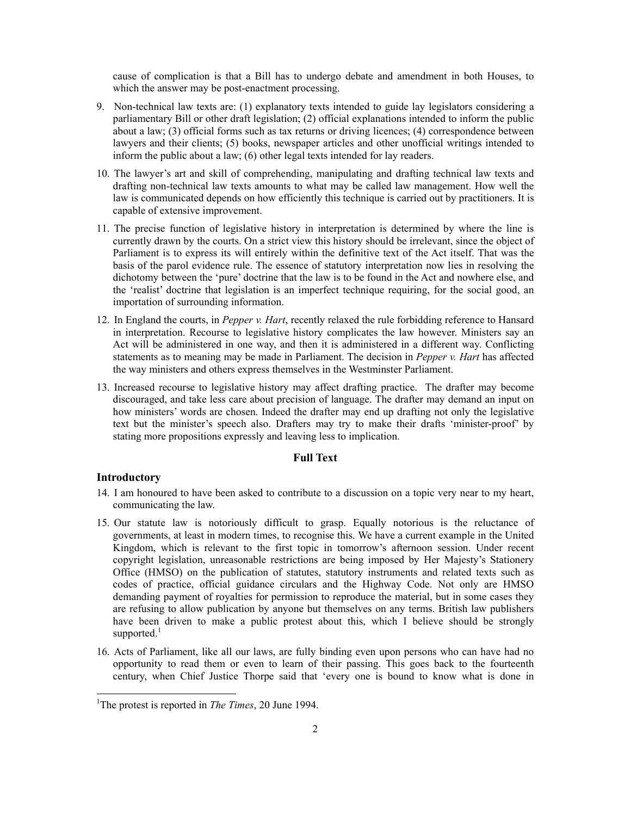cause of complication is that a Bill has to undergo debate and amendment in both Houses, to which the answer may be post-enactment processing.

- 9. Non-technical law texts are: (1) explanatory texts intended to guide lay legislators considering a parliamentary Bill or other draft legislation; (2) official explanations intended to inform the public about a law; (3) official forms such as tax returns or driving licences; (4) correspondence between lawyers and their clients; (5) books, newspaper articles and other unofficial writings intended to inform the public about a law; (6) other legal texts intended for lay readers.
- 10. The lawyer's art and skill of comprehending, manipulating and drafting technical law texts and drafting non-technical law texts amounts to what may be called law management. How well the law is communicated depends on how efficiently this technique is carried out by practitioners. It is capable of extensive improvement.
- 11. The precise function of legislative history in interpretation is determined by where the line is currently drawn by the courts. On a strict view this history should be irrelevant, since the object of Parliament is to express its will entirely within the definitive text of the Act itself. That was the basis of the parol evidence rule. The essence of statutory interpretation now lies in resolving the dichotomy between the 'pure' doctrine that the law is to be found in the Act and nowhere else, and the 'realist' doctrine that legislation is an imperfect technique requiring, for the social good, an importation of surrounding information.
- 12. In England the courts, in *Pepper v. Hart*, recently relaxed the rule forbidding reference to Hansard in interpretation. Recourse to legislative history complicates the law however. Ministers say an Act will be administered in one way, and then it is administered in a different way. Conflicting statements as to meaning may be made in Parliament. The decision in *Pepper v. Hart* has affected the way ministers and others express themselves in the Westminster Parliament.
- 13. Increased recourse to legislative history may affect drafting practice. The drafter may become discouraged, and take less care about precision of language. The drafter may demand an input on how ministers' words are chosen. Indeed the drafter may end up drafting not only the legislative text but the minister's speech also. Drafters may try to make their drafts 'minister-proof' by stating more propositions expressly and leaving less to implication.

#### **Full Text**

#### **Introductory**

- 14. I am honoured to have been asked to contribute to a discussion on a topic very near to my heart, communicating the law.
- 15. Our statute law is notoriously difficult to grasp. Equally notorious is the reluctance of governments, at least in modern times, to recognise this. We have a current example in the United Kingdom, which is relevant to the first topic in tomorrow's afternoon session. Under recent copyright legislation, unreasonable restrictions are being imposed by Her Majesty's Stationery Office (HMSO) on the publication of statutes, statutory instruments and related texts such as codes of practice, official guidance circulars and the Highway Code. Not only are HMSO demanding payment of royalties for permission to reproduce the material, but in some cases they are refusing to allow publication by anyone but themselves on any terms. British law publishers have been driven to make a public protest about this, which I believe should be strongly supported. $<sup>1</sup>$ </sup>
- 16. Acts of Parliament, like all our laws, are fully binding even upon persons who can have had no opportunity to read them or even to learn of their passing. This goes back to the fourteenth century, when Chief Justice Thorpe said that 'every one is bound to know what is done in

<sup>&</sup>lt;sup>1</sup>The protest is reported in *The Times*, 20 June 1994.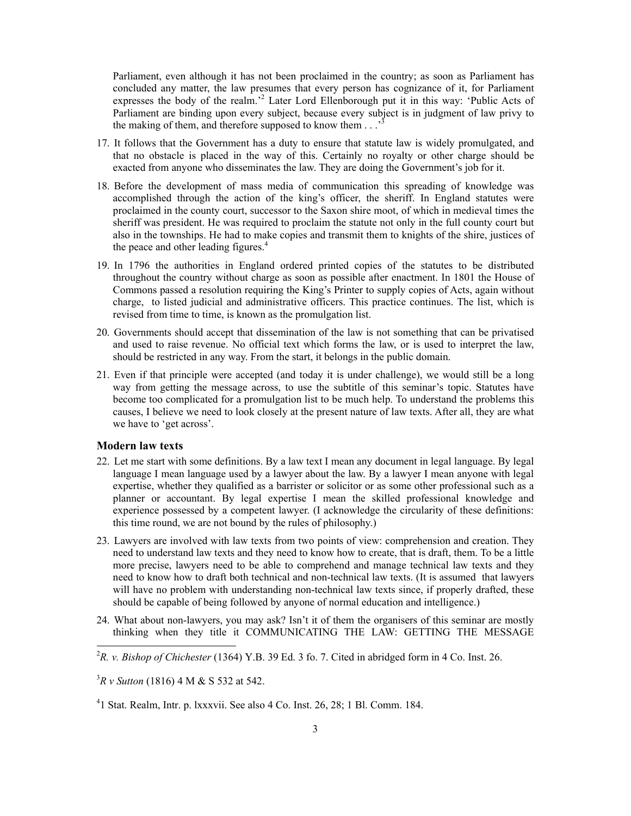Parliament, even although it has not been proclaimed in the country; as soon as Parliament has concluded any matter, the law presumes that every person has cognizance of it, for Parliament expresses the body of the realm.<sup>2</sup> Later Lord Ellenborough put it in this way: 'Public Acts of Parliament are binding upon every subject, because every subject is in judgment of law privy to the making of them, and therefore supposed to know them . . .'

- 17. It follows that the Government has a duty to ensure that statute law is widely promulgated, and that no obstacle is placed in the way of this. Certainly no royalty or other charge should be exacted from anyone who disseminates the law. They are doing the Government's job for it.
- 18. Before the development of mass media of communication this spreading of knowledge was accomplished through the action of the king's officer, the sheriff. In England statutes were proclaimed in the county court, successor to the Saxon shire moot, of which in medieval times the sheriff was president. He was required to proclaim the statute not only in the full county court but also in the townships. He had to make copies and transmit them to knights of the shire, justices of the peace and other leading figures.<sup>4</sup>
- 19. In 1796 the authorities in England ordered printed copies of the statutes to be distributed throughout the country without charge as soon as possible after enactment. In 1801 the House of Commons passed a resolution requiring the King's Printer to supply copies of Acts, again without charge, to listed judicial and administrative officers. This practice continues. The list, which is revised from time to time, is known as the promulgation list.
- 20. Governments should accept that dissemination of the law is not something that can be privatised and used to raise revenue. No official text which forms the law, or is used to interpret the law, should be restricted in any way. From the start, it belongs in the public domain.
- 21. Even if that principle were accepted (and today it is under challenge), we would still be a long way from getting the message across, to use the subtitle of this seminar's topic. Statutes have become too complicated for a promulgation list to be much help. To understand the problems this causes, I believe we need to look closely at the present nature of law texts. After all, they are what we have to 'get across'.

#### **Modern law texts**

<u>.</u>

- 22. Let me start with some definitions. By a law text I mean any document in legal language. By legal language I mean language used by a lawyer about the law. By a lawyer I mean anyone with legal expertise, whether they qualified as a barrister or solicitor or as some other professional such as a planner or accountant. By legal expertise I mean the skilled professional knowledge and experience possessed by a competent lawyer. (I acknowledge the circularity of these definitions: this time round, we are not bound by the rules of philosophy.)
- 23. Lawyers are involved with law texts from two points of view: comprehension and creation. They need to understand law texts and they need to know how to create, that is draft, them. To be a little more precise, lawyers need to be able to comprehend and manage technical law texts and they need to know how to draft both technical and non-technical law texts. (It is assumed that lawyers will have no problem with understanding non-technical law texts since, if properly drafted, these should be capable of being followed by anyone of normal education and intelligence.)
- 24. What about non-lawyers, you may ask? Isn't it of them the organisers of this seminar are mostly thinking when they title it COMMUNICATING THE LAW: GETTING THE MESSAGE
- ${}^{2}R$ . *v. Bishop of Chichester* (1364) Y.B. 39 Ed. 3 fo. 7. Cited in abridged form in 4 Co. Inst. 26.

3 *R v Sutton* (1816) 4 M & S 532 at 542.

<sup>4</sup> 1 Stat. Realm, Intr. p. lxxxvii. See also 4 Co. Inst. 26, 28; 1 Bl. Comm. 184.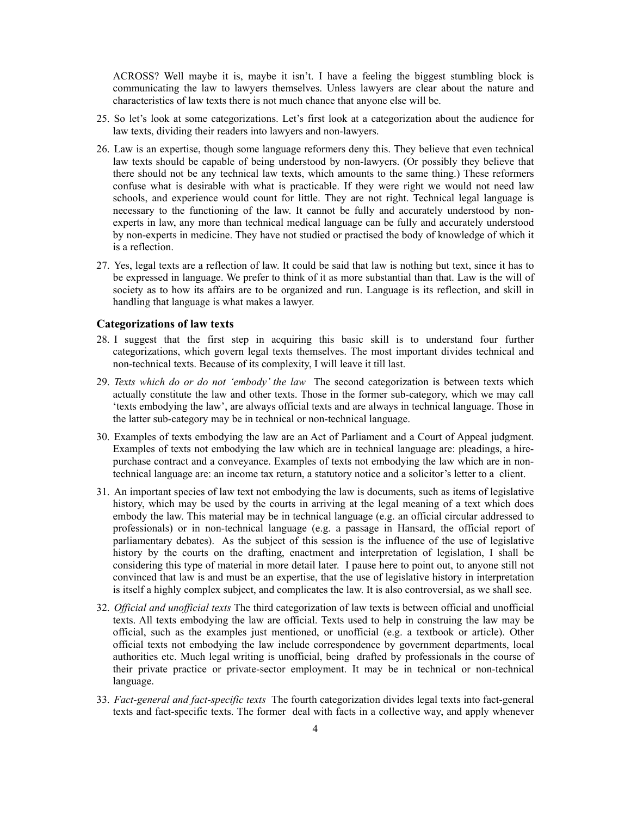ACROSS? Well maybe it is, maybe it isn't. I have a feeling the biggest stumbling block is communicating the law to lawyers themselves. Unless lawyers are clear about the nature and characteristics of law texts there is not much chance that anyone else will be.

- 25. So let's look at some categorizations. Let's first look at a categorization about the audience for law texts, dividing their readers into lawyers and non-lawyers.
- 26. Law is an expertise, though some language reformers deny this. They believe that even technical law texts should be capable of being understood by non-lawyers. (Or possibly they believe that there should not be any technical law texts, which amounts to the same thing.) These reformers confuse what is desirable with what is practicable. If they were right we would not need law schools, and experience would count for little. They are not right. Technical legal language is necessary to the functioning of the law. It cannot be fully and accurately understood by nonexperts in law, any more than technical medical language can be fully and accurately understood by non-experts in medicine. They have not studied or practised the body of knowledge of which it is a reflection.
- 27. Yes, legal texts are a reflection of law. It could be said that law is nothing but text, since it has to be expressed in language. We prefer to think of it as more substantial than that. Law is the will of society as to how its affairs are to be organized and run. Language is its reflection, and skill in handling that language is what makes a lawyer.

#### **Categorizations of law texts**

- 28. I suggest that the first step in acquiring this basic skill is to understand four further categorizations, which govern legal texts themselves. The most important divides technical and non-technical texts. Because of its complexity, I will leave it till last.
- 29. *Texts which do or do not 'embody' the law* The second categorization is between texts which actually constitute the law and other texts. Those in the former sub-category, which we may call 'texts embodying the law', are always official texts and are always in technical language. Those in the latter sub-category may be in technical or non-technical language.
- 30. Examples of texts embodying the law are an Act of Parliament and a Court of Appeal judgment. Examples of texts not embodying the law which are in technical language are: pleadings, a hirepurchase contract and a conveyance. Examples of texts not embodying the law which are in nontechnical language are: an income tax return, a statutory notice and a solicitor's letter to a client.
- 31. An important species of law text not embodying the law is documents, such as items of legislative history, which may be used by the courts in arriving at the legal meaning of a text which does embody the law. This material may be in technical language (e.g. an official circular addressed to professionals) or in non-technical language (e.g. a passage in Hansard, the official report of parliamentary debates). As the subject of this session is the influence of the use of legislative history by the courts on the drafting, enactment and interpretation of legislation, I shall be considering this type of material in more detail later. I pause here to point out, to anyone still not convinced that law is and must be an expertise, that the use of legislative history in interpretation is itself a highly complex subject, and complicates the law. It is also controversial, as we shall see.
- 32. *Official and unofficial texts* The third categorization of law texts is between official and unofficial texts. All texts embodying the law are official. Texts used to help in construing the law may be official, such as the examples just mentioned, or unofficial (e.g. a textbook or article). Other official texts not embodying the law include correspondence by government departments, local authorities etc. Much legal writing is unofficial, being drafted by professionals in the course of their private practice or private-sector employment. It may be in technical or non-technical language.
- 33. *Fact-general and fact-specific texts* The fourth categorization divides legal texts into fact-general texts and fact-specific texts. The former deal with facts in a collective way, and apply whenever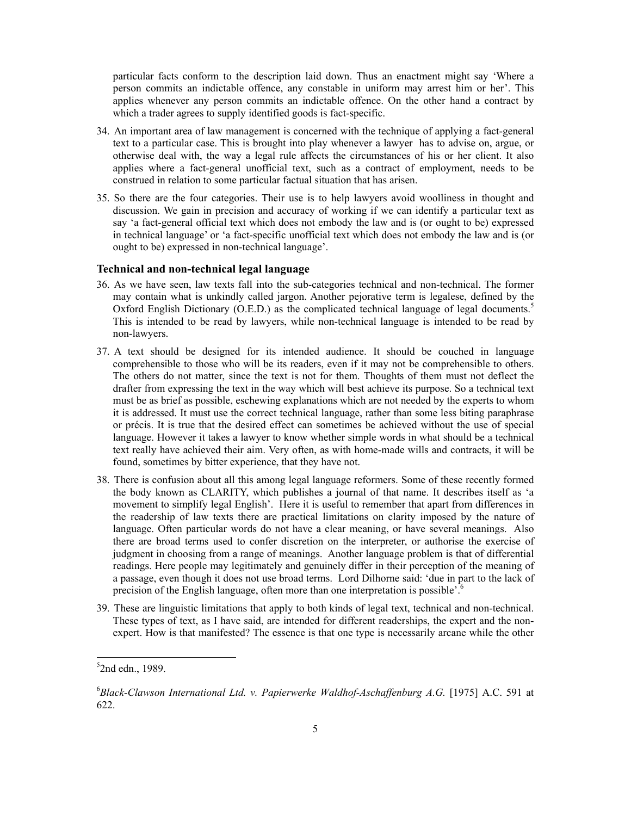particular facts conform to the description laid down. Thus an enactment might say 'Where a person commits an indictable offence, any constable in uniform may arrest him or her'. This applies whenever any person commits an indictable offence. On the other hand a contract by which a trader agrees to supply identified goods is fact-specific.

- 34. An important area of law management is concerned with the technique of applying a fact-general text to a particular case. This is brought into play whenever a lawyer has to advise on, argue, or otherwise deal with, the way a legal rule affects the circumstances of his or her client. It also applies where a fact-general unofficial text, such as a contract of employment, needs to be construed in relation to some particular factual situation that has arisen.
- 35. So there are the four categories. Their use is to help lawyers avoid woolliness in thought and discussion. We gain in precision and accuracy of working if we can identify a particular text as say 'a fact-general official text which does not embody the law and is (or ought to be) expressed in technical language' or 'a fact-specific unofficial text which does not embody the law and is (or ought to be) expressed in non-technical language'.

#### **Technical and non-technical legal language**

- 36. As we have seen, law texts fall into the sub-categories technical and non-technical. The former may contain what is unkindly called jargon. Another pejorative term is legalese, defined by the Oxford English Dictionary (O.E.D.) as the complicated technical language of legal documents.<sup>5</sup> This is intended to be read by lawyers, while non-technical language is intended to be read by non-lawyers.
- 37. A text should be designed for its intended audience. It should be couched in language comprehensible to those who will be its readers, even if it may not be comprehensible to others. The others do not matter, since the text is not for them. Thoughts of them must not deflect the drafter from expressing the text in the way which will best achieve its purpose. So a technical text must be as brief as possible, eschewing explanations which are not needed by the experts to whom it is addressed. It must use the correct technical language, rather than some less biting paraphrase or précis. It is true that the desired effect can sometimes be achieved without the use of special language. However it takes a lawyer to know whether simple words in what should be a technical text really have achieved their aim. Very often, as with home-made wills and contracts, it will be found, sometimes by bitter experience, that they have not.
- 38. There is confusion about all this among legal language reformers. Some of these recently formed the body known as CLARITY, which publishes a journal of that name. It describes itself as 'a movement to simplify legal English'. Here it is useful to remember that apart from differences in the readership of law texts there are practical limitations on clarity imposed by the nature of language. Often particular words do not have a clear meaning, or have several meanings. Also there are broad terms used to confer discretion on the interpreter, or authorise the exercise of judgment in choosing from a range of meanings. Another language problem is that of differential readings. Here people may legitimately and genuinely differ in their perception of the meaning of a passage, even though it does not use broad terms. Lord Dilhorne said: 'due in part to the lack of precision of the English language, often more than one interpretation is possible'.<sup>6</sup>
- 39. These are linguistic limitations that apply to both kinds of legal text, technical and non-technical. These types of text, as I have said, are intended for different readerships, the expert and the nonexpert. How is that manifested? The essence is that one type is necessarily arcane while the other

 $5$ 2nd edn., 1989.

<sup>6</sup> *Black-Clawson International Ltd. v. Papierwerke Waldhof-Aschaffenburg A.G.* [1975] A.C. 591 at 622.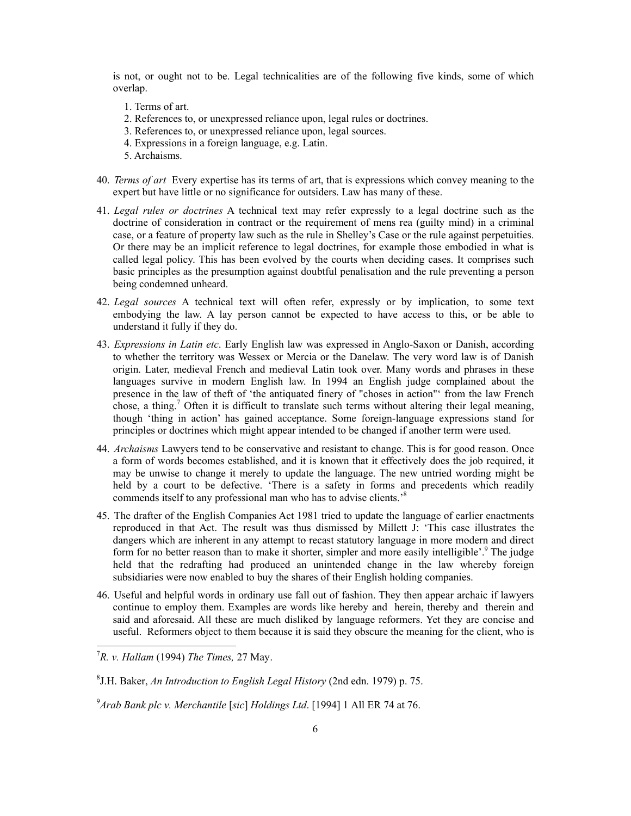is not, or ought not to be. Legal technicalities are of the following five kinds, some of which overlap.

- 1. Terms of art.
- 2. References to, or unexpressed reliance upon, legal rules or doctrines.
- 3. References to, or unexpressed reliance upon, legal sources.
- 4. Expressions in a foreign language, e.g. Latin.
- 5. Archaisms.
- 40. *Terms of art* Every expertise has its terms of art, that is expressions which convey meaning to the expert but have little or no significance for outsiders. Law has many of these.
- 41. *Legal rules or doctrines* A technical text may refer expressly to a legal doctrine such as the doctrine of consideration in contract or the requirement of mens rea (guilty mind) in a criminal case, or a feature of property law such as the rule in Shelley's Case or the rule against perpetuities. Or there may be an implicit reference to legal doctrines, for example those embodied in what is called legal policy. This has been evolved by the courts when deciding cases. It comprises such basic principles as the presumption against doubtful penalisation and the rule preventing a person being condemned unheard.
- 42. *Legal sources* A technical text will often refer, expressly or by implication, to some text embodying the law. A lay person cannot be expected to have access to this, or be able to understand it fully if they do.
- 43. *Expressions in Latin etc*. Early English law was expressed in Anglo-Saxon or Danish, according to whether the territory was Wessex or Mercia or the Danelaw. The very word law is of Danish origin. Later, medieval French and medieval Latin took over. Many words and phrases in these languages survive in modern English law. In 1994 an English judge complained about the presence in the law of theft of 'the antiquated finery of "choses in action"' from the law French chose, a thing.<sup>7</sup> Often it is difficult to translate such terms without altering their legal meaning, though 'thing in action' has gained acceptance. Some foreign-language expressions stand for principles or doctrines which might appear intended to be changed if another term were used.
- 44. *Archaisms* Lawyers tend to be conservative and resistant to change. This is for good reason. Once a form of words becomes established, and it is known that it effectively does the job required, it may be unwise to change it merely to update the language. The new untried wording might be held by a court to be defective. 'There is a safety in forms and precedents which readily commends itself to any professional man who has to advise clients.<sup>8</sup>
- 45. The drafter of the English Companies Act 1981 tried to update the language of earlier enactments reproduced in that Act. The result was thus dismissed by Millett J: 'This case illustrates the dangers which are inherent in any attempt to recast statutory language in more modern and direct form for no better reason than to make it shorter, simpler and more easily intelligible'.<sup>9</sup> The judge held that the redrafting had produced an unintended change in the law whereby foreign subsidiaries were now enabled to buy the shares of their English holding companies.
- 46. Useful and helpful words in ordinary use fall out of fashion. They then appear archaic if lawyers continue to employ them. Examples are words like hereby and herein, thereby and therein and said and aforesaid. All these are much disliked by language reformers. Yet they are concise and useful. Reformers object to them because it is said they obscure the meaning for the client, who is

<sup>7</sup> *R. v. Hallam* (1994) *The Times,* 27 May.

<sup>8</sup> J.H. Baker, *An Introduction to English Legal History* (2nd edn. 1979) p. 75.

<sup>9</sup> *Arab Bank plc v. Merchantile* [*sic*] *Holdings Ltd*. [1994] 1 All ER 74 at 76.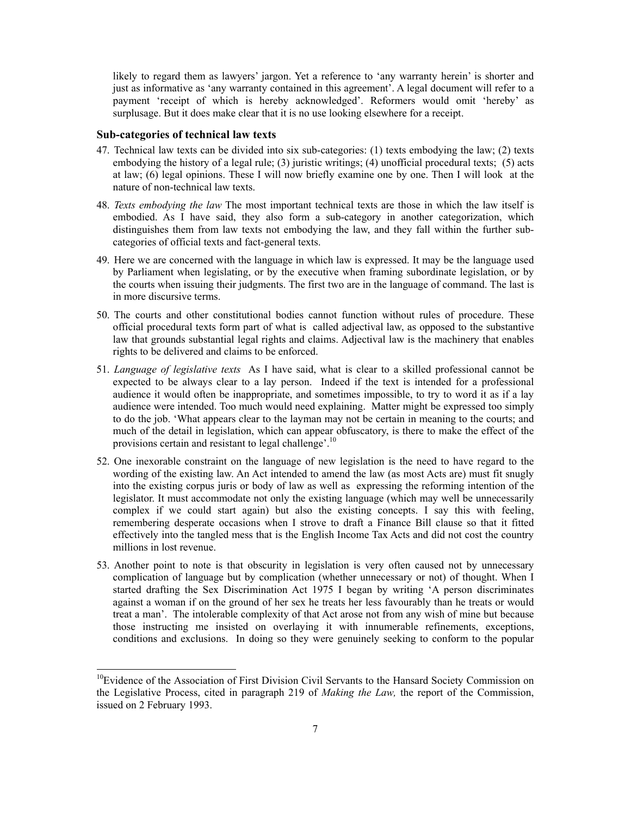likely to regard them as lawyers' jargon. Yet a reference to 'any warranty herein' is shorter and just as informative as 'any warranty contained in this agreement'. A legal document will refer to a payment 'receipt of which is hereby acknowledged'. Reformers would omit 'hereby' as surplusage. But it does make clear that it is no use looking elsewhere for a receipt.

#### **Sub-categories of technical law texts**

- 47. Technical law texts can be divided into six sub-categories: (1) texts embodying the law; (2) texts embodying the history of a legal rule; (3) juristic writings; (4) unofficial procedural texts; (5) acts at law; (6) legal opinions. These I will now briefly examine one by one. Then I will look at the nature of non-technical law texts.
- 48. *Texts embodying the law* The most important technical texts are those in which the law itself is embodied. As I have said, they also form a sub-category in another categorization, which distinguishes them from law texts not embodying the law, and they fall within the further subcategories of official texts and fact-general texts.
- 49. Here we are concerned with the language in which law is expressed. It may be the language used by Parliament when legislating, or by the executive when framing subordinate legislation, or by the courts when issuing their judgments. The first two are in the language of command. The last is in more discursive terms.
- 50. The courts and other constitutional bodies cannot function without rules of procedure. These official procedural texts form part of what is called adjectival law, as opposed to the substantive law that grounds substantial legal rights and claims. Adjectival law is the machinery that enables rights to be delivered and claims to be enforced.
- 51. *Language of legislative texts* As I have said, what is clear to a skilled professional cannot be expected to be always clear to a lay person. Indeed if the text is intended for a professional audience it would often be inappropriate, and sometimes impossible, to try to word it as if a lay audience were intended. Too much would need explaining. Matter might be expressed too simply to do the job. 'What appears clear to the layman may not be certain in meaning to the courts; and much of the detail in legislation, which can appear obfuscatory, is there to make the effect of the provisions certain and resistant to legal challenge'.10
- 52. One inexorable constraint on the language of new legislation is the need to have regard to the wording of the existing law. An Act intended to amend the law (as most Acts are) must fit snugly into the existing corpus juris or body of law as well as expressing the reforming intention of the legislator. It must accommodate not only the existing language (which may well be unnecessarily complex if we could start again) but also the existing concepts. I say this with feeling, remembering desperate occasions when I strove to draft a Finance Bill clause so that it fitted effectively into the tangled mess that is the English Income Tax Acts and did not cost the country millions in lost revenue.
- 53. Another point to note is that obscurity in legislation is very often caused not by unnecessary complication of language but by complication (whether unnecessary or not) of thought. When I started drafting the Sex Discrimination Act 1975 I began by writing 'A person discriminates against a woman if on the ground of her sex he treats her less favourably than he treats or would treat a man'. The intolerable complexity of that Act arose not from any wish of mine but because those instructing me insisted on overlaying it with innumerable refinements, exceptions, conditions and exclusions. In doing so they were genuinely seeking to conform to the popular

<sup>&</sup>lt;sup>10</sup>Evidence of the Association of First Division Civil Servants to the Hansard Society Commission on the Legislative Process, cited in paragraph 219 of *Making the Law,* the report of the Commission, issued on 2 February 1993.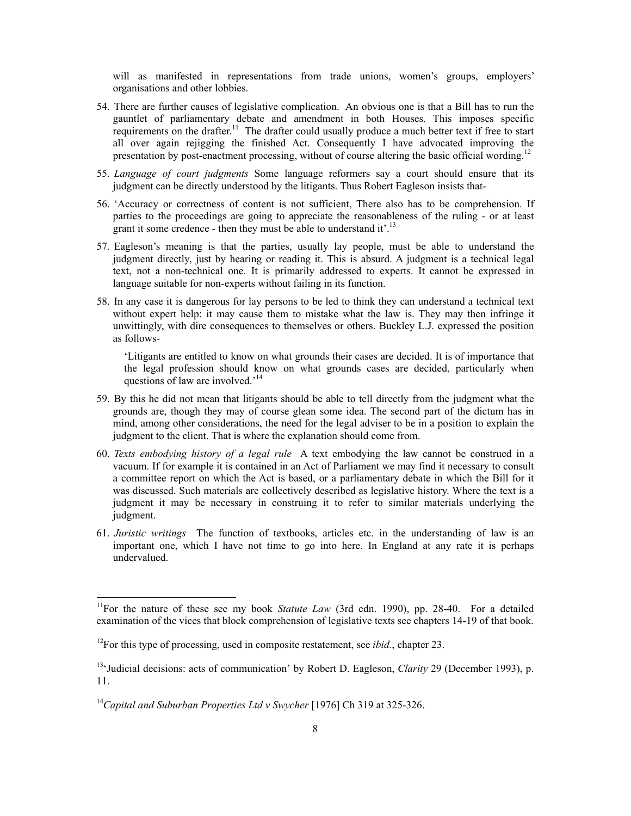will as manifested in representations from trade unions, women's groups, employers' organisations and other lobbies.

- 54. There are further causes of legislative complication. An obvious one is that a Bill has to run the gauntlet of parliamentary debate and amendment in both Houses. This imposes specific requirements on the drafter.<sup>11</sup> The drafter could usually produce a much better text if free to start all over again rejigging the finished Act. Consequently I have advocated improving the presentation by post-enactment processing, without of course altering the basic official wording.<sup>12</sup>
- 55. *Language of court judgments* Some language reformers say a court should ensure that its judgment can be directly understood by the litigants. Thus Robert Eagleson insists that-
- 56. 'Accuracy or correctness of content is not sufficient, There also has to be comprehension. If parties to the proceedings are going to appreciate the reasonableness of the ruling - or at least grant it some credence - then they must be able to understand it'.<sup>13</sup>
- 57. Eagleson's meaning is that the parties, usually lay people, must be able to understand the judgment directly, just by hearing or reading it. This is absurd. A judgment is a technical legal text, not a non-technical one. It is primarily addressed to experts. It cannot be expressed in language suitable for non-experts without failing in its function.
- 58. In any case it is dangerous for lay persons to be led to think they can understand a technical text without expert help: it may cause them to mistake what the law is. They may then infringe it unwittingly, with dire consequences to themselves or others. Buckley L.J. expressed the position as follows-

'Litigants are entitled to know on what grounds their cases are decided. It is of importance that the legal profession should know on what grounds cases are decided, particularly when questions of law are involved.<sup>14</sup>

- 59. By this he did not mean that litigants should be able to tell directly from the judgment what the grounds are, though they may of course glean some idea. The second part of the dictum has in mind, among other considerations, the need for the legal adviser to be in a position to explain the judgment to the client. That is where the explanation should come from.
- 60. *Texts embodying history of a legal rule* A text embodying the law cannot be construed in a vacuum. If for example it is contained in an Act of Parliament we may find it necessary to consult a committee report on which the Act is based, or a parliamentary debate in which the Bill for it was discussed. Such materials are collectively described as legislative history. Where the text is a judgment it may be necessary in construing it to refer to similar materials underlying the judgment.
- 61. *Juristic writings* The function of textbooks, articles etc. in the understanding of law is an important one, which I have not time to go into here. In England at any rate it is perhaps undervalued.

<sup>&</sup>lt;sup>11</sup>For the nature of these see my book *Statute Law* (3rd edn. 1990), pp. 28-40. For a detailed examination of the vices that block comprehension of legislative texts see chapters 14-19 of that book.

<sup>&</sup>lt;sup>12</sup>For this type of processing, used in composite restatement, see *ibid.*, chapter 23.

<sup>&</sup>lt;sup>13</sup>'Judicial decisions: acts of communication' by Robert D. Eagleson, *Clarity* 29 (December 1993), p. 11.

<sup>14</sup>*Capital and Suburban Properties Ltd v Swycher* [1976] Ch 319 at 325-326.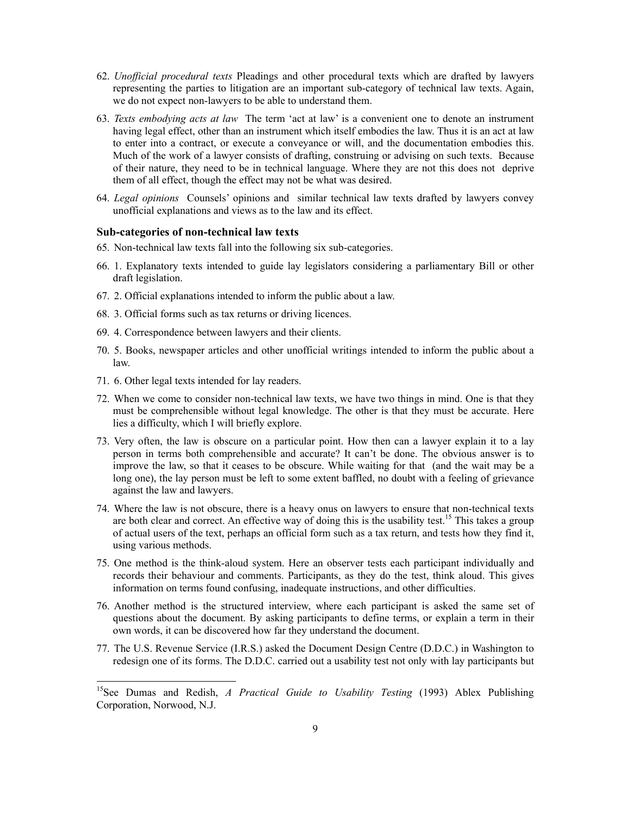- 62. *Unofficial procedural texts* Pleadings and other procedural texts which are drafted by lawyers representing the parties to litigation are an important sub-category of technical law texts. Again, we do not expect non-lawyers to be able to understand them.
- 63. *Texts embodying acts at law* The term 'act at law' is a convenient one to denote an instrument having legal effect, other than an instrument which itself embodies the law. Thus it is an act at law to enter into a contract, or execute a conveyance or will, and the documentation embodies this. Much of the work of a lawyer consists of drafting, construing or advising on such texts. Because of their nature, they need to be in technical language. Where they are not this does not deprive them of all effect, though the effect may not be what was desired.
- 64. *Legal opinions* Counsels' opinions and similar technical law texts drafted by lawyers convey unofficial explanations and views as to the law and its effect.

#### **Sub-categories of non-technical law texts**

- 65. Non-technical law texts fall into the following six sub-categories.
- 66. 1. Explanatory texts intended to guide lay legislators considering a parliamentary Bill or other draft legislation.
- 67. 2. Official explanations intended to inform the public about a law.
- 68. 3. Official forms such as tax returns or driving licences.
- 69. 4. Correspondence between lawyers and their clients.
- 70. 5. Books, newspaper articles and other unofficial writings intended to inform the public about a law.
- 71. 6. Other legal texts intended for lay readers.

- 72. When we come to consider non-technical law texts, we have two things in mind. One is that they must be comprehensible without legal knowledge. The other is that they must be accurate. Here lies a difficulty, which I will briefly explore.
- 73. Very often, the law is obscure on a particular point. How then can a lawyer explain it to a lay person in terms both comprehensible and accurate? It can't be done. The obvious answer is to improve the law, so that it ceases to be obscure. While waiting for that (and the wait may be a long one), the lay person must be left to some extent baffled, no doubt with a feeling of grievance against the law and lawyers.
- 74. Where the law is not obscure, there is a heavy onus on lawyers to ensure that non-technical texts are both clear and correct. An effective way of doing this is the usability test.<sup>15</sup> This takes a group of actual users of the text, perhaps an official form such as a tax return, and tests how they find it, using various methods.
- 75. One method is the think-aloud system. Here an observer tests each participant individually and records their behaviour and comments. Participants, as they do the test, think aloud. This gives information on terms found confusing, inadequate instructions, and other difficulties.
- 76. Another method is the structured interview, where each participant is asked the same set of questions about the document. By asking participants to define terms, or explain a term in their own words, it can be discovered how far they understand the document.
- 77. The U.S. Revenue Service (I.R.S.) asked the Document Design Centre (D.D.C.) in Washington to redesign one of its forms. The D.D.C. carried out a usability test not only with lay participants but

<sup>&</sup>lt;sup>15</sup>See Dumas and Redish, *A Practical Guide to Usability Testing* (1993) Ablex Publishing Corporation, Norwood, N.J.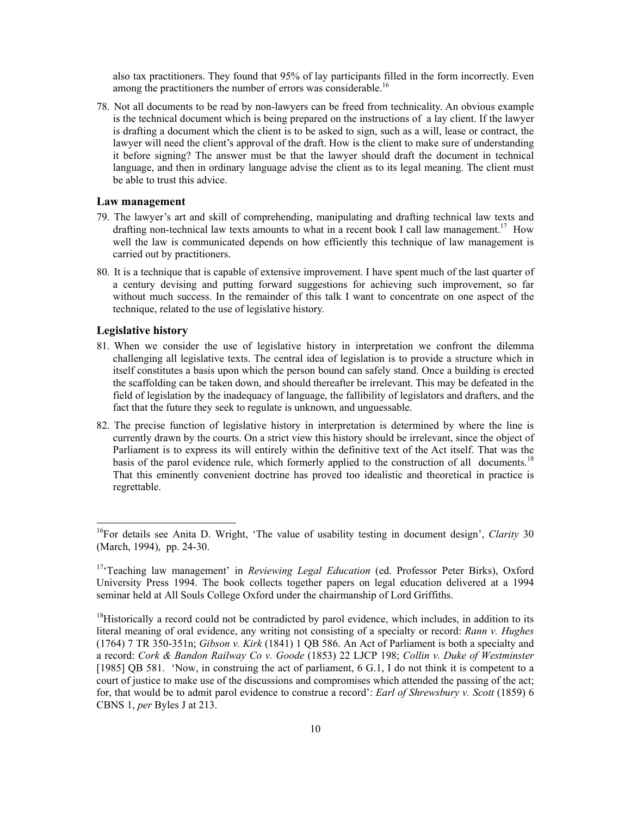also tax practitioners. They found that 95% of lay participants filled in the form incorrectly. Even among the practitioners the number of errors was considerable.<sup>16</sup>

78. Not all documents to be read by non-lawyers can be freed from technicality. An obvious example is the technical document which is being prepared on the instructions of a lay client. If the lawyer is drafting a document which the client is to be asked to sign, such as a will, lease or contract, the lawyer will need the client's approval of the draft. How is the client to make sure of understanding it before signing? The answer must be that the lawyer should draft the document in technical language, and then in ordinary language advise the client as to its legal meaning. The client must be able to trust this advice.

#### **Law management**

- 79. The lawyer's art and skill of comprehending, manipulating and drafting technical law texts and drafting non-technical law texts amounts to what in a recent book I call law management.<sup>17</sup> How well the law is communicated depends on how efficiently this technique of law management is carried out by practitioners.
- 80. It is a technique that is capable of extensive improvement. I have spent much of the last quarter of a century devising and putting forward suggestions for achieving such improvement, so far without much success. In the remainder of this talk I want to concentrate on one aspect of the technique, related to the use of legislative history.

#### **Legislative history**

- 81. When we consider the use of legislative history in interpretation we confront the dilemma challenging all legislative texts. The central idea of legislation is to provide a structure which in itself constitutes a basis upon which the person bound can safely stand. Once a building is erected the scaffolding can be taken down, and should thereafter be irrelevant. This may be defeated in the field of legislation by the inadequacy of language, the fallibility of legislators and drafters, and the fact that the future they seek to regulate is unknown, and unguessable.
- 82. The precise function of legislative history in interpretation is determined by where the line is currently drawn by the courts. On a strict view this history should be irrelevant, since the object of Parliament is to express its will entirely within the definitive text of the Act itself. That was the basis of the parol evidence rule, which formerly applied to the construction of all documents.<sup>18</sup> That this eminently convenient doctrine has proved too idealistic and theoretical in practice is regrettable.

<sup>16</sup>For details see Anita D. Wright, 'The value of usability testing in document design', *Clarity* 30 (March, 1994), pp. 24-30.

<sup>&</sup>lt;sup>17</sup>Teaching law management' in *Reviewing Legal Education* (ed. Professor Peter Birks), Oxford University Press 1994. The book collects together papers on legal education delivered at a 1994 seminar held at All Souls College Oxford under the chairmanship of Lord Griffiths.

 $18$ Historically a record could not be contradicted by parol evidence, which includes, in addition to its literal meaning of oral evidence, any writing not consisting of a specialty or record: *Rann v. Hughes* (1764) 7 TR 350-351n; *Gibson v. Kirk* (1841) 1 QB 586. An Act of Parliament is both a specialty and a record: *Cork & Bandon Railway Co v. Goode* (1853) 22 LJCP 198; *Collin v. Duke of Westminster* [1985] QB 581. 'Now, in construing the act of parliament, 6 G.1, I do not think it is competent to a court of justice to make use of the discussions and compromises which attended the passing of the act; for, that would be to admit parol evidence to construe a record': *Earl of Shrewsbury v. Scott* (1859) 6 CBNS 1, *per* Byles J at 213.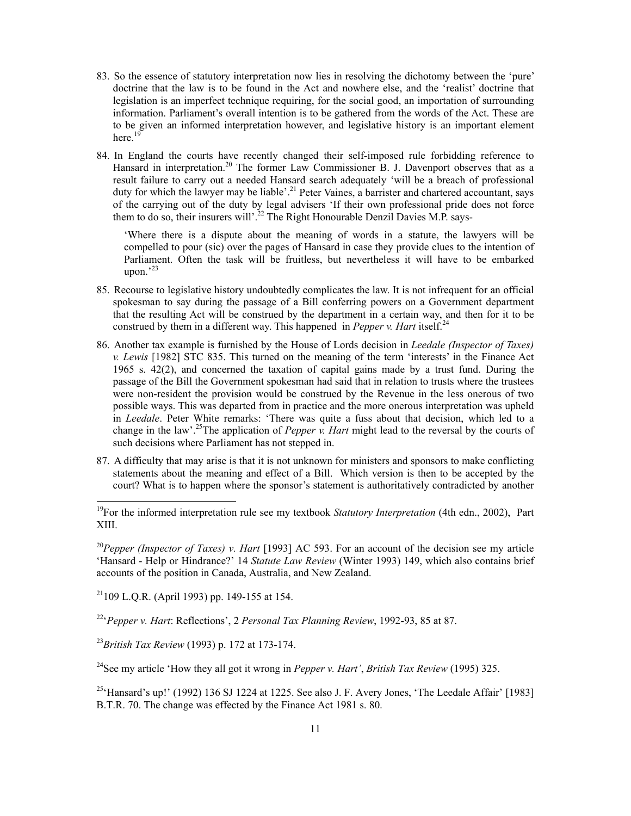- 83. So the essence of statutory interpretation now lies in resolving the dichotomy between the 'pure' doctrine that the law is to be found in the Act and nowhere else, and the 'realist' doctrine that legislation is an imperfect technique requiring, for the social good, an importation of surrounding information. Parliament's overall intention is to be gathered from the words of the Act. These are to be given an informed interpretation however, and legislative history is an important element here.<sup>19</sup>
- 84. In England the courts have recently changed their self-imposed rule forbidding reference to Hansard in interpretation.<sup>20</sup> The former Law Commissioner B. J. Davenport observes that as a result failure to carry out a needed Hansard search adequately 'will be a breach of professional duty for which the lawyer may be liable'.<sup>21</sup> Peter Vaines, a barrister and chartered accountant, says of the carrying out of the duty by legal advisers 'If their own professional pride does not force them to do so, their insurers will'.<sup>22</sup> The Right Honourable Denzil Davies M.P. says-

'Where there is a dispute about the meaning of words in a statute, the lawyers will be compelled to pour (sic) over the pages of Hansard in case they provide clues to the intention of Parliament. Often the task will be fruitless, but nevertheless it will have to be embarked upon. $^{23}$ 

- 85. Recourse to legislative history undoubtedly complicates the law. It is not infrequent for an official spokesman to say during the passage of a Bill conferring powers on a Government department that the resulting Act will be construed by the department in a certain way, and then for it to be construed by them in a different way. This happened in *Pepper v. Hart* itself.<sup>24</sup>
- 86. Another tax example is furnished by the House of Lords decision in *Leedale (Inspector of Taxes) v. Lewis* [1982] STC 835. This turned on the meaning of the term 'interests' in the Finance Act 1965 s. 42(2), and concerned the taxation of capital gains made by a trust fund. During the passage of the Bill the Government spokesman had said that in relation to trusts where the trustees were non-resident the provision would be construed by the Revenue in the less onerous of two possible ways. This was departed from in practice and the more onerous interpretation was upheld in *Leedale*. Peter White remarks: 'There was quite a fuss about that decision, which led to a change in the law'.25The application of *Pepper v. Hart* might lead to the reversal by the courts of such decisions where Parliament has not stepped in.
- 87. A difficulty that may arise is that it is not unknown for ministers and sponsors to make conflicting statements about the meaning and effect of a Bill. Which version is then to be accepted by the court? What is to happen where the sponsor's statement is authoritatively contradicted by another

<sup>20</sup>Pepper (Inspector of Taxes) v. Hart [1993] AC 593. For an account of the decision see my article 'Hansard - Help or Hindrance?' 14 *Statute Law Review* (Winter 1993) 149, which also contains brief accounts of the position in Canada, Australia, and New Zealand.

 $21109$  L.Q.R. (April 1993) pp. 149-155 at 154.

-

22'*Pepper v. Hart*: Reflections', 2 *Personal Tax Planning Review*, 1992-93, 85 at 87.

<sup>23</sup>*British Tax Review* (1993) p. 172 at 173-174.

24See my article 'How they all got it wrong in *Pepper v. Hart'*, *British Tax Review* (1995) 325.

 $^{25}$ 'Hansard's up!' (1992) 136 SJ 1224 at 1225. See also J. F. Avery Jones, 'The Leedale Affair' [1983] B.T.R. 70. The change was effected by the Finance Act 1981 s. 80.

<sup>19</sup>For the informed interpretation rule see my textbook *Statutory Interpretation* (4th edn., 2002), Part XIII.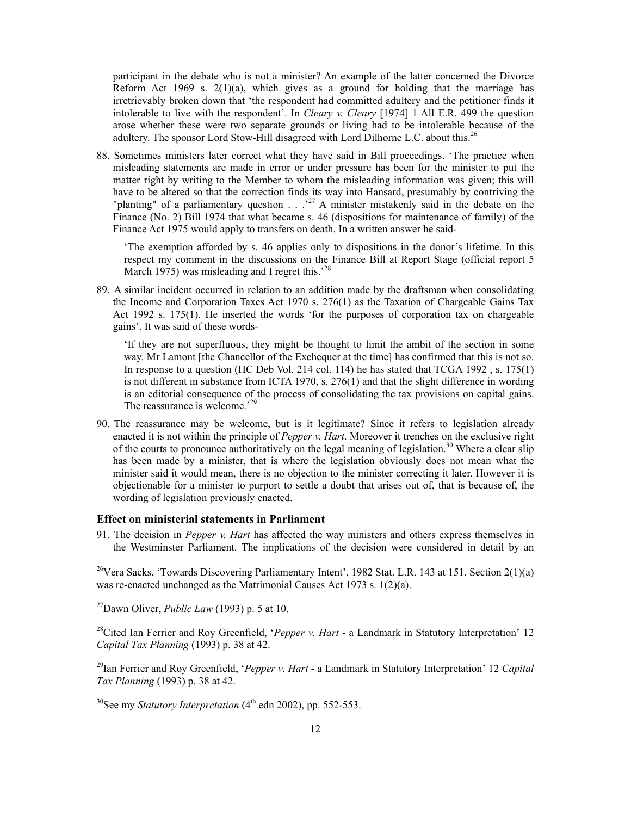participant in the debate who is not a minister? An example of the latter concerned the Divorce Reform Act 1969 s.  $2(1)(a)$ , which gives as a ground for holding that the marriage has irretrievably broken down that 'the respondent had committed adultery and the petitioner finds it intolerable to live with the respondent'. In *Cleary v. Cleary* [1974] 1 All E.R. 499 the question arose whether these were two separate grounds or living had to be intolerable because of the adultery. The sponsor Lord Stow-Hill disagreed with Lord Dilhorne L.C. about this.<sup>26</sup>

88. Sometimes ministers later correct what they have said in Bill proceedings. 'The practice when misleading statements are made in error or under pressure has been for the minister to put the matter right by writing to the Member to whom the misleading information was given; this will have to be altered so that the correction finds its way into Hansard, presumably by contriving the "planting" of a parliamentary question  $\ldots$ <sup>27</sup> A minister mistakenly said in the debate on the Finance (No. 2) Bill 1974 that what became s. 46 (dispositions for maintenance of family) of the Finance Act 1975 would apply to transfers on death. In a written answer he said-

'The exemption afforded by s. 46 applies only to dispositions in the donor's lifetime. In this respect my comment in the discussions on the Finance Bill at Report Stage (official report 5 March 1975) was misleading and I regret this.<sup>228</sup>

89. A similar incident occurred in relation to an addition made by the draftsman when consolidating the Income and Corporation Taxes Act 1970 s. 276(1) as the Taxation of Chargeable Gains Tax Act 1992 s. 175(1). He inserted the words 'for the purposes of corporation tax on chargeable gains'. It was said of these words-

'If they are not superfluous, they might be thought to limit the ambit of the section in some way. Mr Lamont [the Chancellor of the Exchequer at the time] has confirmed that this is not so. In response to a question (HC Deb Vol. 214 col. 114) he has stated that TCGA 1992, s. 175(1) is not different in substance from ICTA 1970, s. 276(1) and that the slight difference in wording is an editorial consequence of the process of consolidating the tax provisions on capital gains. The reassurance is welcome.<sup>29</sup>

90. The reassurance may be welcome, but is it legitimate? Since it refers to legislation already enacted it is not within the principle of *Pepper v. Hart*. Moreover it trenches on the exclusive right of the courts to pronounce authoritatively on the legal meaning of legislation.<sup>30</sup> Where a clear slip has been made by a minister, that is where the legislation obviously does not mean what the minister said it would mean, there is no objection to the minister correcting it later. However it is objectionable for a minister to purport to settle a doubt that arises out of, that is because of, the wording of legislation previously enacted.

#### **Effect on ministerial statements in Parliament**

91. The decision in *Pepper v. Hart* has affected the way ministers and others express themselves in the Westminster Parliament. The implications of the decision were considered in detail by an

27Dawn Oliver, *Public Law* (1993) p. 5 at 10.

-

<sup>28</sup>Cited Ian Ferrier and Roy Greenfield, '*Pepper v. Hart* - a Landmark in Statutory Interpretation' 12 *Capital Tax Planning* (1993) p. 38 at 42.

29Ian Ferrier and Roy Greenfield, '*Pepper v. Hart* - a Landmark in Statutory Interpretation' 12 *Capital Tax Planning* (1993) p. 38 at 42.

<sup>30</sup>See my *Statutory Interpretation* (4<sup>th</sup> edn 2002), pp. 552-553.

<sup>&</sup>lt;sup>26</sup>Vera Sacks, 'Towards Discovering Parliamentary Intent', 1982 Stat. L.R. 143 at 151. Section  $2(1)(a)$ was re-enacted unchanged as the Matrimonial Causes Act 1973 s. 1(2)(a).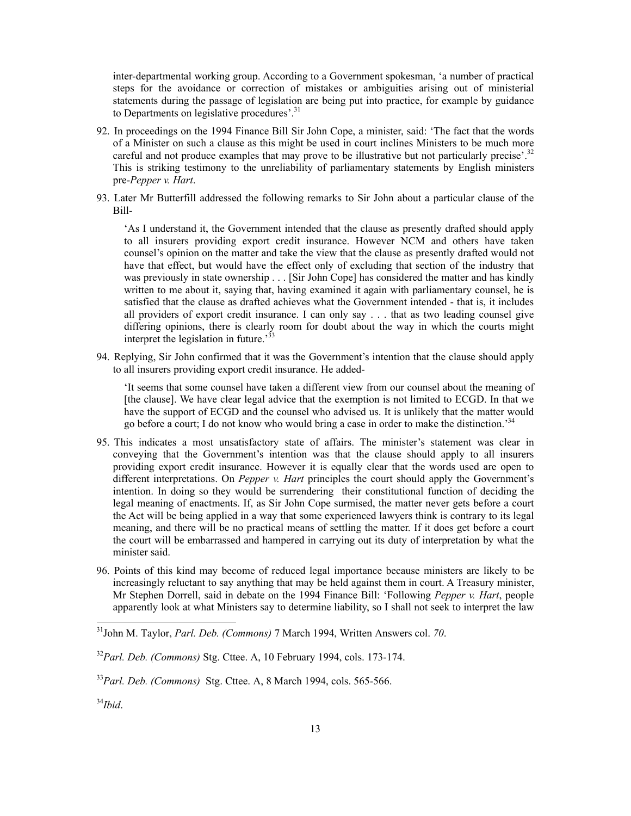inter-departmental working group. According to a Government spokesman, 'a number of practical steps for the avoidance or correction of mistakes or ambiguities arising out of ministerial statements during the passage of legislation are being put into practice, for example by guidance to Departments on legislative procedures'.<sup>31</sup>

- 92. In proceedings on the 1994 Finance Bill Sir John Cope, a minister, said: 'The fact that the words of a Minister on such a clause as this might be used in court inclines Ministers to be much more careful and not produce examples that may prove to be illustrative but not particularly precise'.<sup>32</sup> This is striking testimony to the unreliability of parliamentary statements by English ministers pre-*Pepper v. Hart*.
- 93. Later Mr Butterfill addressed the following remarks to Sir John about a particular clause of the Bill-

'As I understand it, the Government intended that the clause as presently drafted should apply to all insurers providing export credit insurance. However NCM and others have taken counsel's opinion on the matter and take the view that the clause as presently drafted would not have that effect, but would have the effect only of excluding that section of the industry that was previously in state ownership . . . [Sir John Cope] has considered the matter and has kindly written to me about it, saying that, having examined it again with parliamentary counsel, he is satisfied that the clause as drafted achieves what the Government intended - that is, it includes all providers of export credit insurance. I can only say . . . that as two leading counsel give differing opinions, there is clearly room for doubt about the way in which the courts might interpret the legislation in future.<sup>33</sup>

94. Replying, Sir John confirmed that it was the Government's intention that the clause should apply to all insurers providing export credit insurance. He added-

'It seems that some counsel have taken a different view from our counsel about the meaning of [the clause]. We have clear legal advice that the exemption is not limited to ECGD. In that we have the support of ECGD and the counsel who advised us. It is unlikely that the matter would go before a court; I do not know who would bring a case in order to make the distinction.'34

- 95. This indicates a most unsatisfactory state of affairs. The minister's statement was clear in conveying that the Government's intention was that the clause should apply to all insurers providing export credit insurance. However it is equally clear that the words used are open to different interpretations. On *Pepper v. Hart* principles the court should apply the Government's intention. In doing so they would be surrendering their constitutional function of deciding the legal meaning of enactments. If, as Sir John Cope surmised, the matter never gets before a court the Act will be being applied in a way that some experienced lawyers think is contrary to its legal meaning, and there will be no practical means of settling the matter. If it does get before a court the court will be embarrassed and hampered in carrying out its duty of interpretation by what the minister said.
- 96. Points of this kind may become of reduced legal importance because ministers are likely to be increasingly reluctant to say anything that may be held against them in court. A Treasury minister, Mr Stephen Dorrell, said in debate on the 1994 Finance Bill: 'Following *Pepper v. Hart*, people apparently look at what Ministers say to determine liability, so I shall not seek to interpret the law

<sup>31</sup>John M. Taylor, *Parl. Deb. (Commons)* 7 March 1994, Written Answers col. *70*.

<sup>32</sup>*Parl. Deb. (Commons)* Stg. Cttee. A, 10 February 1994, cols. 173-174.

<sup>33</sup>*Parl. Deb. (Commons)* Stg. Cttee. A, 8 March 1994, cols. 565-566.

<sup>34</sup>*Ibid*.